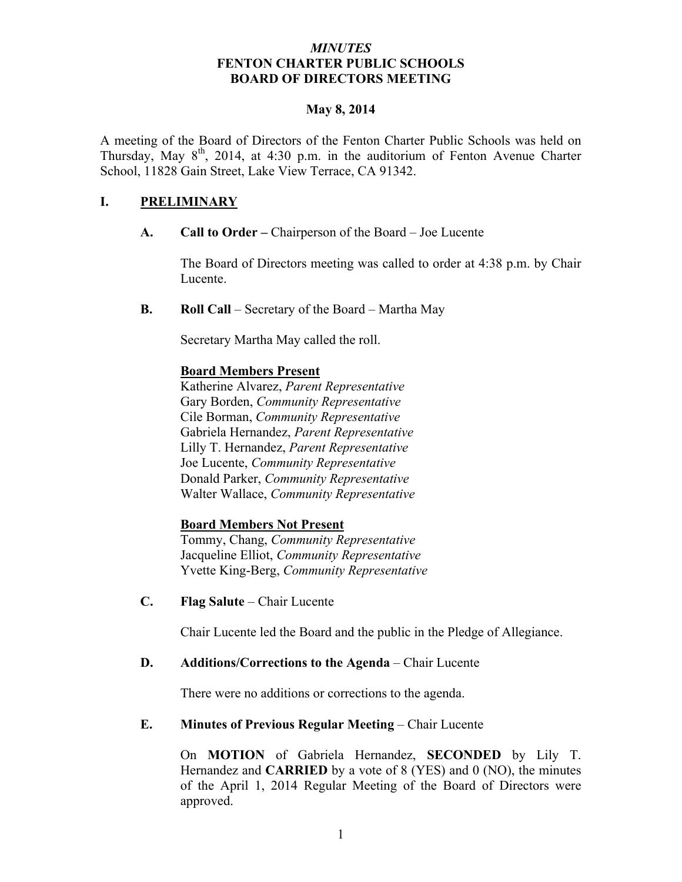### *MINUTES* **FENTON CHARTER PUBLIC SCHOOLS BOARD OF DIRECTORS MEETING**

#### **May 8, 2014**

A meeting of the Board of Directors of the Fenton Charter Public Schools was held on Thursday, May 8<sup>th</sup>, 2014, at 4:30 p.m. in the auditorium of Fenton Avenue Charter School, 11828 Gain Street, Lake View Terrace, CA 91342.

## **I. PRELIMINARY**

**A. Call to Order –** Chairperson of the Board – Joe Lucente

The Board of Directors meeting was called to order at 4:38 p.m. by Chair Lucente.

**B. Roll Call** – Secretary of the Board – Martha May

Secretary Martha May called the roll.

### **Board Members Present**

Katherine Alvarez, *Parent Representative* Gary Borden, *Community Representative* Cile Borman, *Community Representative* Gabriela Hernandez, *Parent Representative* Lilly T. Hernandez, *Parent Representative* Joe Lucente, *Community Representative* Donald Parker, *Community Representative* Walter Wallace, *Community Representative*

## **Board Members Not Present**

Tommy, Chang, *Community Representative* Jacqueline Elliot, *Community Representative* Yvette King-Berg, *Community Representative*

**C. Flag Salute** – Chair Lucente

Chair Lucente led the Board and the public in the Pledge of Allegiance.

### **D. Additions/Corrections to the Agenda** – Chair Lucente

There were no additions or corrections to the agenda.

## **E. Minutes of Previous Regular Meeting – Chair Lucente**

On **MOTION** of Gabriela Hernandez, **SECONDED** by Lily T. Hernandez and **CARRIED** by a vote of 8 (YES) and 0 (NO), the minutes of the April 1, 2014 Regular Meeting of the Board of Directors were approved.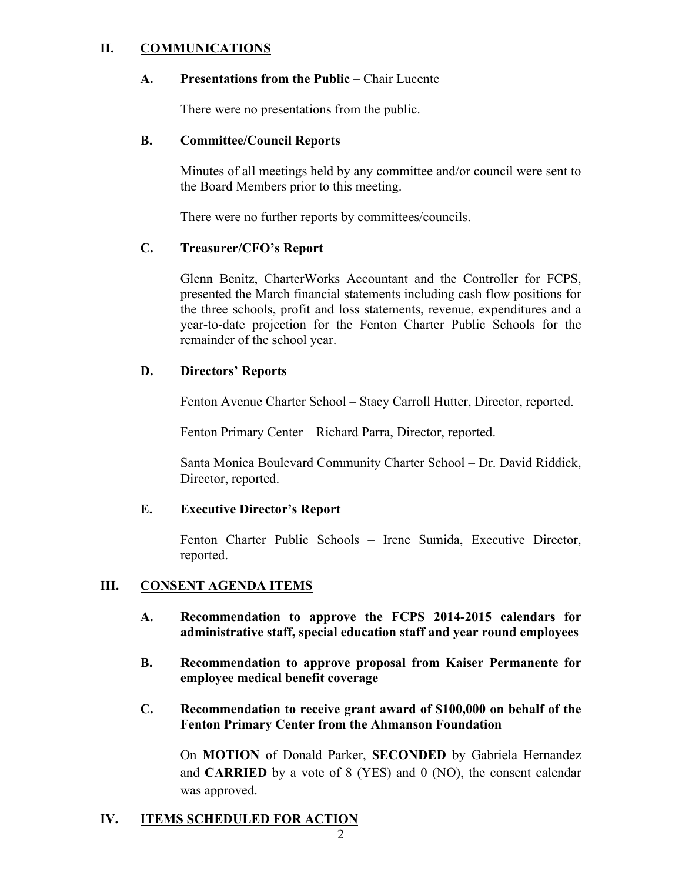## **II. COMMUNICATIONS**

#### **A. Presentations from the Public** – Chair Lucente

There were no presentations from the public.

#### **B. Committee/Council Reports**

Minutes of all meetings held by any committee and/or council were sent to the Board Members prior to this meeting.

There were no further reports by committees/councils.

### **C. Treasurer/CFO's Report**

Glenn Benitz, CharterWorks Accountant and the Controller for FCPS, presented the March financial statements including cash flow positions for the three schools, profit and loss statements, revenue, expenditures and a year-to-date projection for the Fenton Charter Public Schools for the remainder of the school year.

### **D. Directors' Reports**

Fenton Avenue Charter School – Stacy Carroll Hutter, Director, reported.

Fenton Primary Center – Richard Parra, Director, reported.

Santa Monica Boulevard Community Charter School – Dr. David Riddick, Director, reported.

### **E. Executive Director's Report**

Fenton Charter Public Schools – Irene Sumida, Executive Director, reported.

### **III. CONSENT AGENDA ITEMS**

- **A. Recommendation to approve the FCPS 2014-2015 calendars for administrative staff, special education staff and year round employees**
- **B. Recommendation to approve proposal from Kaiser Permanente for employee medical benefit coverage**
- **C. Recommendation to receive grant award of \$100,000 on behalf of the Fenton Primary Center from the Ahmanson Foundation**

On **MOTION** of Donald Parker, **SECONDED** by Gabriela Hernandez and **CARRIED** by a vote of 8 (YES) and 0 (NO), the consent calendar was approved.

### **IV. ITEMS SCHEDULED FOR AC**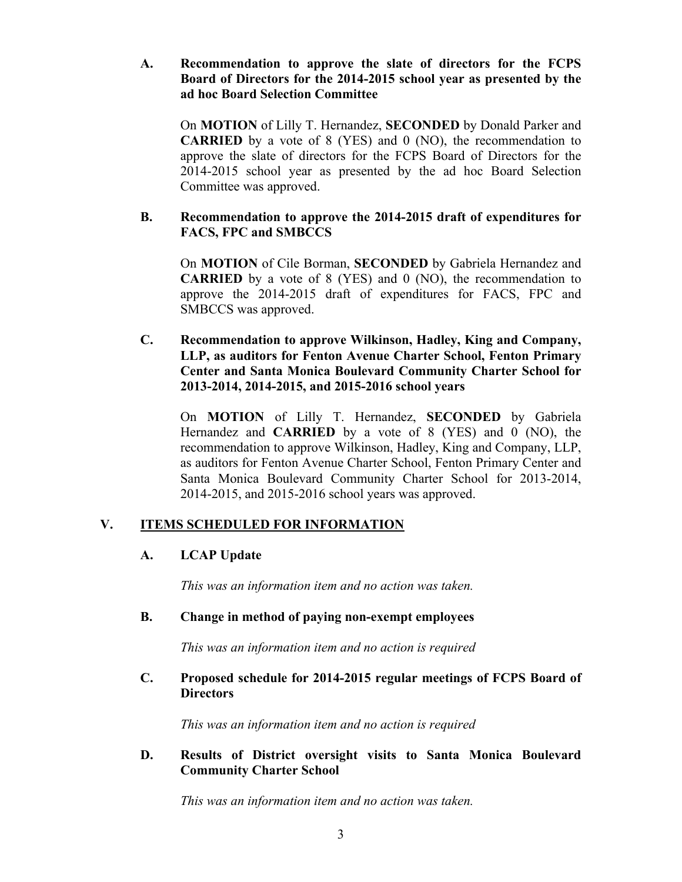### **A. Recommendation to approve the slate of directors for the FCPS Board of Directors for the 2014-2015 school year as presented by the ad hoc Board Selection Committee**

On **MOTION** of Lilly T. Hernandez, **SECONDED** by Donald Parker and **CARRIED** by a vote of 8 (YES) and 0 (NO), the recommendation to approve the slate of directors for the FCPS Board of Directors for the 2014-2015 school year as presented by the ad hoc Board Selection Committee was approved.

### **B. Recommendation to approve the 2014-2015 draft of expenditures for FACS, FPC and SMBCCS**

On **MOTION** of Cile Borman, **SECONDED** by Gabriela Hernandez and **CARRIED** by a vote of 8 (YES) and 0 (NO), the recommendation to approve the 2014-2015 draft of expenditures for FACS, FPC and SMBCCS was approved.

## **C. Recommendation to approve Wilkinson, Hadley, King and Company, LLP, as auditors for Fenton Avenue Charter School, Fenton Primary Center and Santa Monica Boulevard Community Charter School for 2013-2014, 2014-2015, and 2015-2016 school years**

On **MOTION** of Lilly T. Hernandez, **SECONDED** by Gabriela Hernandez and **CARRIED** by a vote of 8 (YES) and 0 (NO), the recommendation to approve Wilkinson, Hadley, King and Company, LLP, as auditors for Fenton Avenue Charter School, Fenton Primary Center and Santa Monica Boulevard Community Charter School for 2013-2014, 2014-2015, and 2015-2016 school years was approved.

## **V. ITEMS SCHEDULED FOR INFORMATION**

# **A. LCAP Update**

*This was an information item and no action was taken.*

## **B. Change in method of paying non-exempt employees**

*This was an information item and no action is required*

## **C. Proposed schedule for 2014-2015 regular meetings of FCPS Board of Directors**

*This was an information item and no action is required*

## **D. Results of District oversight visits to Santa Monica Boulevard Community Charter School**

*This was an information item and no action was taken.*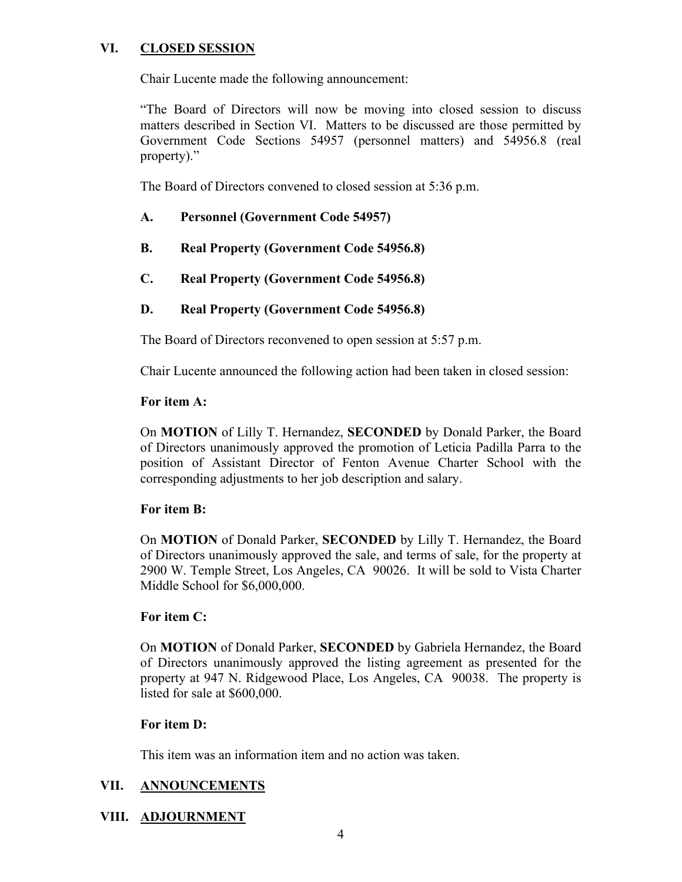# **VI. CLOSED SESSION**

Chair Lucente made the following announcement:

"The Board of Directors will now be moving into closed session to discuss matters described in Section VI. Matters to be discussed are those permitted by Government Code Sections 54957 (personnel matters) and 54956.8 (real property)."

The Board of Directors convened to closed session at 5:36 p.m.

- **A. Personnel (Government Code 54957)**
- **B. Real Property (Government Code 54956.8)**
- **C. Real Property (Government Code 54956.8)**
- **D. Real Property (Government Code 54956.8)**

The Board of Directors reconvened to open session at 5:57 p.m.

Chair Lucente announced the following action had been taken in closed session:

### **For item A:**

On **MOTION** of Lilly T. Hernandez, **SECONDED** by Donald Parker, the Board of Directors unanimously approved the promotion of Leticia Padilla Parra to the position of Assistant Director of Fenton Avenue Charter School with the corresponding adjustments to her job description and salary.

## **For item B:**

On **MOTION** of Donald Parker, **SECONDED** by Lilly T. Hernandez, the Board of Directors unanimously approved the sale, and terms of sale, for the property at 2900 W. Temple Street, Los Angeles, CA 90026. It will be sold to Vista Charter Middle School for \$6,000,000.

### **For item C:**

On **MOTION** of Donald Parker, **SECONDED** by Gabriela Hernandez, the Board of Directors unanimously approved the listing agreement as presented for the property at 947 N. Ridgewood Place, Los Angeles, CA 90038. The property is listed for sale at \$600,000.

### **For item D:**

This item was an information item and no action was taken.

## **VII. ANNOUNCEMENTS**

## **VIII. ADJOURNMENT**